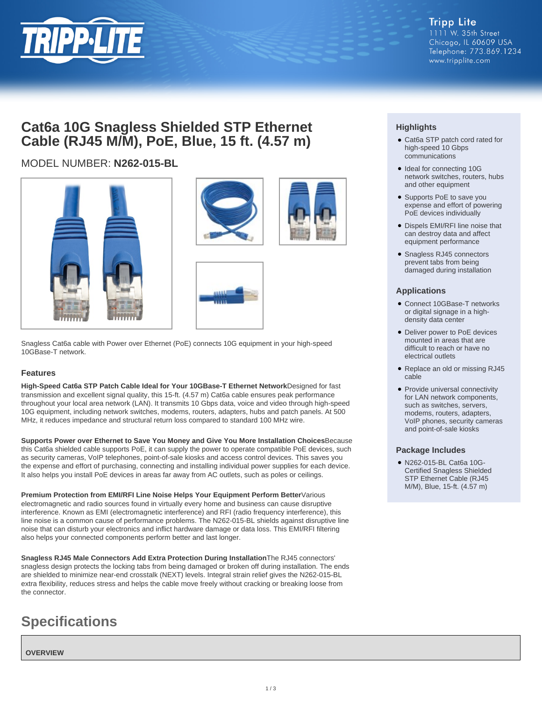

# **Cat6a 10G Snagless Shielded STP Ethernet Cable (RJ45 M/M), PoE, Blue, 15 ft. (4.57 m)**

# MODEL NUMBER: **N262-015-BL**







Snagless Cat6a cable with Power over Ethernet (PoE) connects 10G equipment in your high-speed 10GBase-T network.

### **Features**

**High-Speed Cat6a STP Patch Cable Ideal for Your 10GBase-T Ethernet Network**Designed for fast transmission and excellent signal quality, this 15-ft. (4.57 m) Cat6a cable ensures peak performance throughout your local area network (LAN). It transmits 10 Gbps data, voice and video through high-speed 10G equipment, including network switches, modems, routers, adapters, hubs and patch panels. At 500 MHz, it reduces impedance and structural return loss compared to standard 100 MHz wire.

**Supports Power over Ethernet to Save You Money and Give You More Installation Choices**Because this Cat6a shielded cable supports PoE, it can supply the power to operate compatible PoE devices, such as security cameras, VoIP telephones, point-of-sale kiosks and access control devices. This saves you the expense and effort of purchasing, connecting and installing individual power supplies for each device. It also helps you install PoE devices in areas far away from AC outlets, such as poles or ceilings.

**Premium Protection from EMI/RFI Line Noise Helps Your Equipment Perform Better**Various electromagnetic and radio sources found in virtually every home and business can cause disruptive interference. Known as EMI (electromagnetic interference) and RFI (radio frequency interference), this line noise is a common cause of performance problems. The N262-015-BL shields against disruptive line noise that can disturb your electronics and inflict hardware damage or data loss. This EMI/RFI filtering also helps your connected components perform better and last longer.

**Snagless RJ45 Male Connectors Add Extra Protection During Installation**The RJ45 connectors' snagless design protects the locking tabs from being damaged or broken off during installation. The ends are shielded to minimize near-end crosstalk (NEXT) levels. Integral strain relief gives the N262-015-BL extra flexibility, reduces stress and helps the cable move freely without cracking or breaking loose from the connector.

# **Specifications**

**OVERVIEW**

## **Highlights**

- Cat6a STP patch cord rated for high-speed 10 Gbps communications
- Ideal for connecting 10G network switches, routers, hubs and other equipment
- Supports PoE to save you expense and effort of powering PoE devices individually
- Dispels EMI/RFI line noise that can destroy data and affect equipment performance
- Snagless RJ45 connectors prevent tabs from being damaged during installation

### **Applications**

- Connect 10GBase-T networks or digital signage in a highdensity data center
- Deliver power to PoE devices mounted in areas that are difficult to reach or have no electrical outlets
- Replace an old or missing RJ45 cable
- Provide universal connectivity for LAN network components, such as switches, servers, modems, routers, adapters, VoIP phones, security cameras and point-of-sale kiosks

### **Package Includes**

N262-015-BL Cat6a 10G-● Certified Snagless Shielded STP Ethernet Cable (RJ45 M/M), Blue, 15-ft. (4.57 m)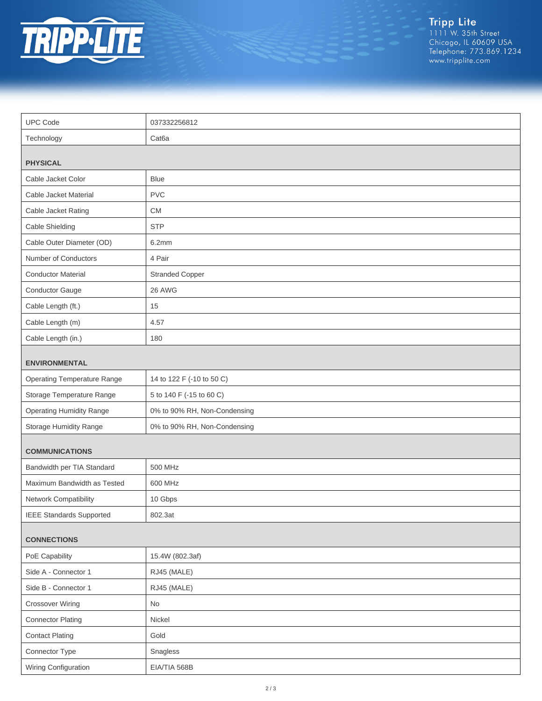

Tripp Lite<br>1111 W. 35th Street<br>Chicago, IL 60609 USA<br>Telephone: 773.869.1234<br>www.tripplite.com

| <b>UPC Code</b>                       | 037332256812                 |  |
|---------------------------------------|------------------------------|--|
| Technology                            | Cat <sub>6</sub> a           |  |
|                                       |                              |  |
| <b>PHYSICAL</b><br>Cable Jacket Color | <b>Blue</b>                  |  |
| Cable Jacket Material                 | <b>PVC</b>                   |  |
| Cable Jacket Rating                   | <b>CM</b>                    |  |
| Cable Shielding                       | <b>STP</b>                   |  |
| Cable Outer Diameter (OD)             | 6.2mm                        |  |
| Number of Conductors                  | 4 Pair                       |  |
| <b>Conductor Material</b>             | <b>Stranded Copper</b>       |  |
| Conductor Gauge                       | 26 AWG                       |  |
| Cable Length (ft.)                    | 15                           |  |
| Cable Length (m)                      | 4.57                         |  |
| Cable Length (in.)                    | 180                          |  |
|                                       |                              |  |
| <b>ENVIRONMENTAL</b>                  |                              |  |
| <b>Operating Temperature Range</b>    | 14 to 122 F (-10 to 50 C)    |  |
| Storage Temperature Range             | 5 to 140 F (-15 to 60 C)     |  |
| <b>Operating Humidity Range</b>       | 0% to 90% RH, Non-Condensing |  |
| Storage Humidity Range                | 0% to 90% RH, Non-Condensing |  |
| <b>COMMUNICATIONS</b>                 |                              |  |
| Bandwidth per TIA Standard            | 500 MHz                      |  |
| Maximum Bandwidth as Tested           | 600 MHz                      |  |
| Network Compatibility                 | 10 Gbps                      |  |
| <b>IEEE Standards Supported</b>       | 802.3at                      |  |
| <b>CONNECTIONS</b>                    |                              |  |
| PoE Capability                        | 15.4W (802.3af)              |  |
| Side A - Connector 1                  | RJ45 (MALE)                  |  |
| Side B - Connector 1                  | RJ45 (MALE)                  |  |
| <b>Crossover Wiring</b>               | No                           |  |
| <b>Connector Plating</b>              | Nickel                       |  |
| <b>Contact Plating</b>                | Gold                         |  |
| Connector Type                        | Snagless                     |  |
| Wiring Configuration                  | EIA/TIA 568B                 |  |